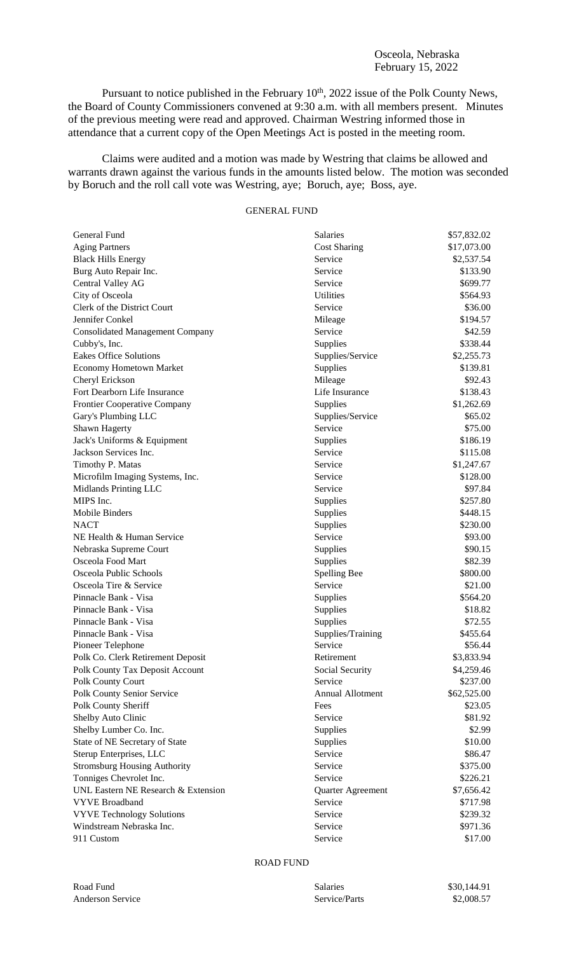## Osceola, Nebraska February 15, 2022

Pursuant to notice published in the February  $10<sup>th</sup>$ , 2022 issue of the Polk County News, the Board of County Commissioners convened at 9:30 a.m. with all members present. Minutes of the previous meeting were read and approved. Chairman Westring informed those in attendance that a current copy of the Open Meetings Act is posted in the meeting room.

Claims were audited and a motion was made by Westring that claims be allowed and warrants drawn against the various funds in the amounts listed below. The motion was seconded by Boruch and the roll call vote was Westring, aye; Boruch, aye; Boss, aye.

## GENERAL FUND

| General Fund                           | <b>Salaries</b>         | \$57,832.02 |
|----------------------------------------|-------------------------|-------------|
| <b>Aging Partners</b>                  | <b>Cost Sharing</b>     | \$17,073.00 |
| <b>Black Hills Energy</b>              | Service                 | \$2,537.54  |
| Burg Auto Repair Inc.                  | Service                 | \$133.90    |
| Central Valley AG                      | Service                 | \$699.77    |
| City of Osceola                        | Utilities               | \$564.93    |
| Clerk of the District Court            | Service                 | \$36.00     |
| Jennifer Conkel                        | Mileage                 | \$194.57    |
| <b>Consolidated Management Company</b> | Service                 | \$42.59     |
| Cubby's, Inc.                          | Supplies                | \$338.44    |
| <b>Eakes Office Solutions</b>          | Supplies/Service        | \$2,255.73  |
| <b>Economy Hometown Market</b>         | Supplies                | \$139.81    |
| Cheryl Erickson                        | Mileage                 | \$92.43     |
| Fort Dearborn Life Insurance           | Life Insurance          | \$138.43    |
| Frontier Cooperative Company           | Supplies                | \$1,262.69  |
| Gary's Plumbing LLC                    | Supplies/Service        | \$65.02     |
| Shawn Hagerty                          | Service                 | \$75.00     |
| Jack's Uniforms & Equipment            | Supplies                | \$186.19    |
| Jackson Services Inc.                  | Service                 | \$115.08    |
| Timothy P. Matas                       | Service                 | \$1,247.67  |
| Microfilm Imaging Systems, Inc.        | Service                 | \$128.00    |
| Midlands Printing LLC                  | Service                 | \$97.84     |
| MIPS Inc.                              | Supplies                | \$257.80    |
| Mobile Binders                         | Supplies                | \$448.15    |
| <b>NACT</b>                            | Supplies                | \$230.00    |
| NE Health & Human Service              | Service                 | \$93.00     |
| Nebraska Supreme Court                 | Supplies                | \$90.15     |
| Osceola Food Mart                      | Supplies                | \$82.39     |
| Osceola Public Schools                 | Spelling Bee            | \$800.00    |
| Osceola Tire & Service                 | Service                 | \$21.00     |
| Pinnacle Bank - Visa                   | Supplies                | \$564.20    |
| Pinnacle Bank - Visa                   | Supplies                | \$18.82     |
| Pinnacle Bank - Visa                   | Supplies                | \$72.55     |
| Pinnacle Bank - Visa                   | Supplies/Training       | \$455.64    |
| Pioneer Telephone                      | Service                 | \$56.44     |
| Polk Co. Clerk Retirement Deposit      | Retirement              | \$3,833.94  |
| Polk County Tax Deposit Account        | Social Security         | \$4,259.46  |
| Polk County Court                      | Service                 | \$237.00    |
| Polk County Senior Service             | <b>Annual Allotment</b> | \$62,525.00 |
| Polk County Sheriff                    | Fees                    | \$23.05     |
| Shelby Auto Clinic                     | Service                 | \$81.92     |
| Shelby Lumber Co. Inc.                 | Supplies                | \$2.99      |
| State of NE Secretary of State         | Supplies                | \$10.00     |
| Sterup Enterprises, LLC                | Service                 | \$86.47     |
| <b>Stromsburg Housing Authority</b>    | Service                 | \$375.00    |
| Tonniges Chevrolet Inc.                | Service                 | \$226.21    |
| UNL Eastern NE Research & Extension    | Quarter Agreement       | \$7,656.42  |
| <b>VYVE Broadband</b>                  | Service                 | \$717.98    |
| <b>VYVE Technology Solutions</b>       | Service                 | \$239.32    |
| Windstream Nebraska Inc.               | Service                 | \$971.36    |
| 911 Custom                             | Service                 | \$17.00     |
|                                        |                         |             |

## ROAD FUND

| Road Fund               |  |
|-------------------------|--|
| <b>Anderson Service</b> |  |

Salaries \$30,144.91 e Service/Parts \$2,008.57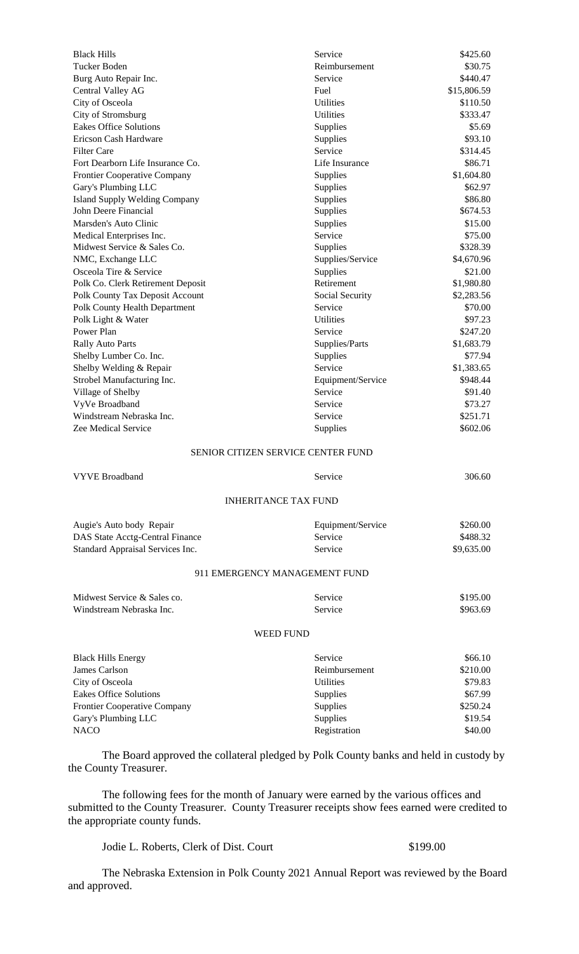| <b>Black Hills</b>                                           | Service                                   | \$425.60           |
|--------------------------------------------------------------|-------------------------------------------|--------------------|
| Tucker Boden                                                 | Reimbursement                             | \$30.75            |
| Burg Auto Repair Inc.                                        | Service                                   | \$440.47           |
| Central Valley AG                                            | Fuel                                      | \$15,806.59        |
| City of Osceola                                              | <b>Utilities</b>                          | \$110.50           |
| City of Stromsburg                                           | <b>Utilities</b>                          | \$333.47           |
| <b>Eakes Office Solutions</b>                                | Supplies                                  | \$5.69             |
| Ericson Cash Hardware                                        | Supplies                                  | \$93.10            |
| <b>Filter Care</b>                                           | Service                                   | \$314.45           |
| Fort Dearborn Life Insurance Co.                             | Life Insurance                            | \$86.71            |
| Frontier Cooperative Company                                 | Supplies                                  | \$1,604.80         |
| Gary's Plumbing LLC                                          | Supplies                                  | \$62.97<br>\$86.80 |
| <b>Island Supply Welding Company</b><br>John Deere Financial | Supplies                                  | \$674.53           |
| Marsden's Auto Clinic                                        | Supplies<br>Supplies                      | \$15.00            |
| Medical Enterprises Inc.                                     | Service                                   | \$75.00            |
| Midwest Service & Sales Co.                                  | Supplies                                  | \$328.39           |
| NMC, Exchange LLC                                            | Supplies/Service                          | \$4,670.96         |
| Osceola Tire & Service                                       | Supplies                                  | \$21.00            |
| Polk Co. Clerk Retirement Deposit                            | Retirement                                | \$1,980.80         |
| Polk County Tax Deposit Account                              | Social Security                           | \$2,283.56         |
| Polk County Health Department                                | Service                                   | \$70.00            |
| Polk Light & Water                                           | <b>Utilities</b>                          | \$97.23            |
| Power Plan                                                   | Service                                   | \$247.20           |
| <b>Rally Auto Parts</b>                                      | Supplies/Parts                            | \$1,683.79         |
| Shelby Lumber Co. Inc.                                       | Supplies                                  | \$77.94            |
| Shelby Welding & Repair                                      | Service                                   | \$1,383.65         |
| Strobel Manufacturing Inc.                                   | Equipment/Service                         | \$948.44           |
| Village of Shelby                                            | Service                                   | \$91.40            |
| VyVe Broadband                                               | Service                                   | \$73.27            |
| Windstream Nebraska Inc.                                     | Service                                   | \$251.71           |
| Zee Medical Service                                          | Supplies                                  | \$602.06           |
|                                                              | <b>SENIOR CITIZEN SERVICE CENTER FUND</b> |                    |
| <b>VYVE Broadband</b>                                        | Service                                   | 306.60             |
|                                                              | <b>INHERITANCE TAX FUND</b>               |                    |
|                                                              |                                           |                    |
| Augie's Auto body Repair                                     | Equipment/Service                         | \$260.00           |
| DAS State Acctg-Central Finance                              | Service                                   | \$488.32           |
| Standard Appraisal Services Inc.                             | Service                                   | \$9,635.00         |
|                                                              | 911 EMERGENCY MANAGEMENT FUND             |                    |
| Midwest Service & Sales co.                                  | Service                                   | \$195.00           |
| Windstream Nebraska Inc.                                     | Service                                   | \$963.69           |
|                                                              | <b>WEED FUND</b>                          |                    |
|                                                              |                                           |                    |
| <b>Black Hills Energy</b>                                    | Service                                   | \$66.10            |
| James Carlson                                                | Reimbursement                             | \$210.00           |
| City of Osceola                                              | <b>Utilities</b>                          | \$79.83<br>\$67.99 |
| <b>Eakes Office Solutions</b>                                | Supplies                                  | \$250.24           |
| Frontier Cooperative Company<br>Gary's Plumbing LLC          | Supplies<br>Supplies                      | \$19.54            |
| <b>NACO</b>                                                  | Registration                              | \$40.00            |
|                                                              |                                           |                    |

The Board approved the collateral pledged by Polk County banks and held in custody by the County Treasurer.

The following fees for the month of January were earned by the various offices and submitted to the County Treasurer. County Treasurer receipts show fees earned were credited to the appropriate county funds.

Jodie L. Roberts, Clerk of Dist. Court \$199.00

The Nebraska Extension in Polk County 2021 Annual Report was reviewed by the Board and approved.